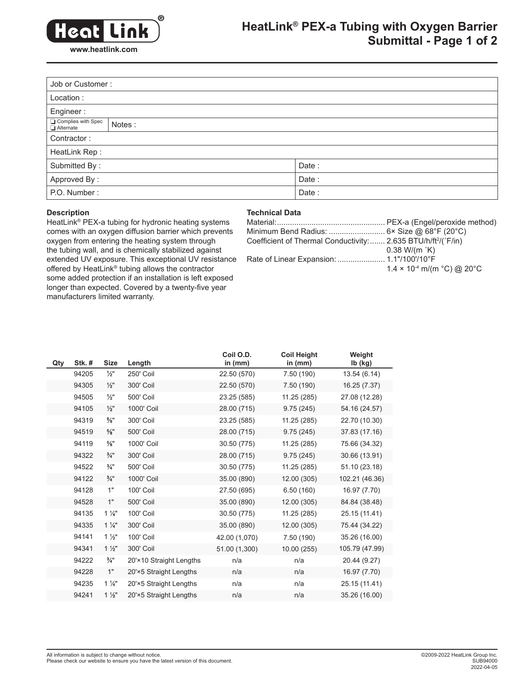

# **HeatLink® PEX-a Tubing with Oxygen Barrier Submittal - Page 1 of 2**

|                                            | Job or Customer: |  |  |  |  |
|--------------------------------------------|------------------|--|--|--|--|
| Location:                                  |                  |  |  |  |  |
| Engineer:                                  |                  |  |  |  |  |
| <b>□</b> Complies with Spec<br>□ Alternate | Notes:           |  |  |  |  |
| Contractor:                                |                  |  |  |  |  |
| HeatLink Rep:                              |                  |  |  |  |  |
| Submitted By:                              | Date:            |  |  |  |  |
| Approved By:<br>Date:                      |                  |  |  |  |  |
| P.O. Number:<br>Date:                      |                  |  |  |  |  |

## **Description**

## **Technical Data**

HeatLink® PEX-a tubing for hydronic heating systems comes with an oxygen diffusion barrier which prevents oxygen from entering the heating system through the tubing wall, and is chemically stabilized against extended UV exposure. This exceptional UV resistance offered by HeatLink® tubing allows the contractor some added protection if an installation is left exposed longer than expected. Covered by a twenty-five year manufacturers limited warranty.

| Coefficient of Thermal Conductivity: 2.635 BTU/h/ft <sup>2</sup> /(°F/in) |                                                           |
|---------------------------------------------------------------------------|-----------------------------------------------------------|
|                                                                           | $0.38$ W/(m $K$ )                                         |
|                                                                           |                                                           |
|                                                                           | $1.4 \times 10^{-4}$ m/(m $^{\circ}$ C) @ 20 $^{\circ}$ C |
|                                                                           |                                                           |

| Qty | <b>Stk. #</b> | <b>Size</b>     | Length                  | Coil O.D.<br>in (mm) | <b>Coil Height</b><br>in $(mm)$ | Weight<br>$lb$ ( $kg$ ) |
|-----|---------------|-----------------|-------------------------|----------------------|---------------------------------|-------------------------|
|     | 94205         | 1⁄2"            | 250' Coil               | 22.50 (570)          | 7.50 (190)                      | 13.54 (6.14)            |
|     | 94305         | $\frac{1}{2}$ " | 300' Coil               | 22.50 (570)          | 7.50 (190)                      | 16.25 (7.37)            |
|     | 94505         | $\frac{1}{2}$   | 500' Coil               | 23.25 (585)          | 11.25 (285)                     | 27.08 (12.28)           |
|     | 94105         | $\frac{1}{2}$ " | 1000' Coil              | 28.00 (715)          | 9.75(245)                       | 54.16 (24.57)           |
|     | 94319         | $\frac{5}{8}$ " | 300' Coil               | 23.25 (585)          | 11.25 (285)                     | 22.70 (10.30)           |
|     | 94519         | $\frac{5}{8}$ " | 500' Coil               | 28.00 (715)          | 9.75(245)                       | 37.83 (17.16)           |
|     | 94119         | $\frac{5}{8}$ " | 1000' Coil              | 30.50 (775)          | 11.25 (285)                     | 75.66 (34.32)           |
|     | 94322         | $\frac{3}{4}$ " | 300' Coil               | 28.00 (715)          | 9.75(245)                       | 30.66 (13.91)           |
|     | 94522         | $\frac{3}{4}$ " | 500' Coil               | 30.50 (775)          | 11.25 (285)                     | 51.10 (23.18)           |
|     | 94122         | $\frac{3}{4}$ " | 1000' Coil              | 35.00 (890)          | 12.00 (305)                     | 102.21 (46.36)          |
|     | 94128         | 1"              | 100' Coil               | 27.50 (695)          | 6.50(160)                       | 16.97 (7.70)            |
|     | 94528         | 1"              | 500' Coil               | 35.00 (890)          | 12.00 (305)                     | 84.84 (38.48)           |
|     | 94135         | $1\frac{1}{4}$  | 100' Coil               | 30.50 (775)          | 11.25 (285)                     | 25.15 (11.41)           |
|     | 94335         | $1\frac{1}{4}$  | 300' Coil               | 35.00 (890)          | 12.00 (305)                     | 75.44 (34.22)           |
|     | 94141         | $1\frac{1}{2}$  | 100' Coil               | 42.00 (1,070)        | 7.50 (190)                      | 35.26 (16.00)           |
|     | 94341         | $1\frac{1}{2}$  | 300' Coil               | 51.00 (1,300)        | 10.00 (255)                     | 105.79 (47.99)          |
|     | 94222         | $\frac{3}{4}$ " | 20'×10 Straight Lengths | n/a                  | n/a                             | 20.44 (9.27)            |
|     | 94228         | 1"              | 20'×5 Straight Lengths  | n/a                  | n/a                             | 16.97 (7.70)            |
|     | 94235         | $1\frac{1}{4}$  | 20'×5 Straight Lengths  | n/a                  | n/a                             | 25.15 (11.41)           |
|     | 94241         | $1\frac{1}{2}$  | 20'×5 Straight Lengths  | n/a                  | n/a                             | 35.26 (16.00)           |
|     |               |                 |                         |                      |                                 |                         |